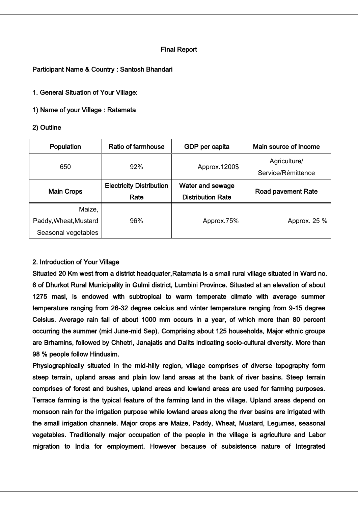# Final Report

## Participant Name & Country : Santosh Bhandari

1. General Situation of Your Village:

1) Name of your Village : Ratamata

## 2) Outline

| Population            | <b>Ratio of farmhouse</b>               | GDP per capita                               | Main source of Income              |
|-----------------------|-----------------------------------------|----------------------------------------------|------------------------------------|
| 650                   | 92%                                     | Approx.1200\$                                | Agriculture/<br>Service/Rémittence |
| <b>Main Crops</b>     | <b>Electricity Distribution</b><br>Rate | Water and sewage<br><b>Distribution Rate</b> | Road pavement Rate                 |
| Maize,                |                                         |                                              |                                    |
| Paddy, Wheat, Mustard | 96%                                     | Approx.75%                                   | Approx. 25 %                       |
| Seasonal vegetables   |                                         |                                              |                                    |

# 2. Introduction of Your Village

Situated 20 Km west from a district headquater,Ratamata is a small rural village situated in Ward no. 6 of Dhurkot Rural Municipality in Gulmi district, Lumbini Province. Situated at an elevation of about 1275 masl, is endowed with subtropical to warm temperate climate with average summer temperature ranging from 26-32 degree celcius and winter temperature ranging from 9-15 degree Celsius. Average rain fall of about 1000 mm occurs in a year, of which more than 80 percent occurring the summer (mid June-mid Sep). Comprising about 125 households, Major ethnic groups are Brhamins, followed by Chhetri, Janajatis and Dalits indicating socio-cultural diversity. More than 98 % people follow Hindusim.

Physiographically situated in the mid-hilly region, village comprises of diverse topography form steep terrain, upland areas and plain low land areas at the bank of river basins. Steep terrain comprises of forest and bushes, upland areas and lowland areas are used for farming purposes. Terrace farming is the typical feature of the farming land in the village. Upland areas depend on monsoon rain for the irrigation purpose while lowland areas along the river basins are irrigated with the small irrigation channels. Major crops are Maize, Paddy, Wheat, Mustard, Legumes, seasonal vegetables. Traditionally major occupation of the people in the village is agriculture and Labor migration to India for employment. However because of subsistence nature of Integrated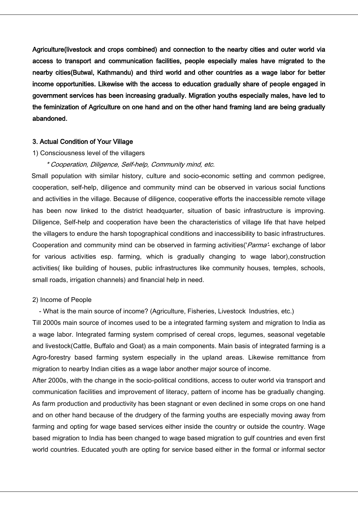Agriculture(livestock and crops combined) and connection to the nearby cities and outer world via access to transport and communication facilities, people especially males have migrated to the nearby cities(Butwal, Kathmandu) and third world and other countries as a wage labor for better income opportunities. Likewise with the access to education gradually share of people engaged in government services has been increasing gradually. Migration youths especially males, have led to the feminization of Agriculture on one hand and on the other hand framing land are being gradually abandoned.

### 3. Actual Condition of Your Village

#### 1) Consciousness level of the villagers

### \* Cooperation, Diligence, Self-help, Community mind, etc.

Small population with similar history, culture and socio-economic setting and common pedigree, cooperation, self-help, diligence and community mind can be observed in various social functions and activities in the village. Because of diligence, cooperative efforts the inaccessible remote village has been now linked to the district headquarter, situation of basic infrastructure is improving. Diligence, Self-help and cooperation have been the characteristics of village life that have helped the villagers to endure the harsh topographical conditions and inaccessibility to basic infrastructures. Cooperation and community mind can be observed in farming activities('Parma'- exchange of labor for various activities esp. farming, which is gradually changing to wage labor),construction activities( like building of houses, public infrastructures like community houses, temples, schools, small roads, irrigation channels) and financial help in need.

### 2) Income of People

- What is the main source of income? (Agriculture, Fisheries, Livestock Industries, etc.)

Till 2000s main source of incomes used to be a integrated farming system and migration to India as a wage labor. Integrated farming system comprised of cereal crops, legumes, seasonal vegetable and livestock(Cattle, Buffalo and Goat) as a main components. Main basis of integrated farming is a Agro-forestry based farming system especially in the upland areas. Likewise remittance from migration to nearby Indian cities as a wage labor another major source of income.

After 2000s, with the change in the socio-political conditions, access to outer world via transport and communication facilities and improvement of literacy, pattern of income has be gradually changing. As farm production and productivity has been stagnant or even declined in some crops on one hand and on other hand because of the drudgery of the farming youths are especially moving away from farming and opting for wage based services either inside the country or outside the country. Wage based migration to India has been changed to wage based migration to gulf countries and even first world countries. Educated youth are opting for service based either in the formal or informal sector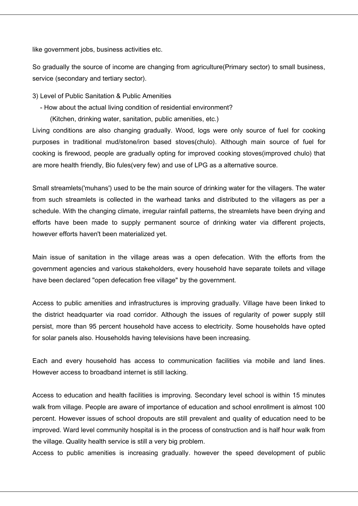like government jobs, business activities etc.

So gradually the source of income are changing from agriculture(Primary sector) to small business, service (secondary and tertiary sector).

- 3) Level of Public Sanitation & Public Amenities
	- How about the actual living condition of residential environment?
		- (Kitchen, drinking water, sanitation, public amenities, etc.)

Living conditions are also changing gradually. Wood, logs were only source of fuel for cooking purposes in traditional mud/stone/iron based stoves(chulo). Although main source of fuel for cooking is firewood, people are gradually opting for improved cooking stoves(improved chulo) that are more health friendly, Bio fules(very few) and use of LPG as a alternative source.

Small streamlets('muhans') used to be the main source of drinking water for the villagers. The water from such streamlets is collected in the warhead tanks and distributed to the villagers as per a schedule. With the changing climate, irregular rainfall patterns, the streamlets have been drying and efforts have been made to supply permanent source of drinking water via different projects, however efforts haven't been materialized yet.

Main issue of sanitation in the village areas was a open defecation. With the efforts from the government agencies and various stakeholders, every household have separate toilets and village have been declared "open defecation free village" by the government.

Access to public amenities and infrastructures is improving gradually. Village have been linked to the district headquarter via road corridor. Although the issues of regularity of power supply still persist, more than 95 percent household have access to electricity. Some households have opted for solar panels also. Households having televisions have been increasing.

Each and every household has access to communication facilities via mobile and land lines. However access to broadband internet is still lacking.

Access to education and health facilities is improving. Secondary level school is within 15 minutes walk from village. People are aware of importance of education and school enrollment is almost 100 percent. However issues of school dropouts are still prevalent and quality of education need to be improved. Ward level community hospital is in the process of construction and is half hour walk from the village. Quality health service is still a very big problem.

Access to public amenities is increasing gradually. however the speed development of public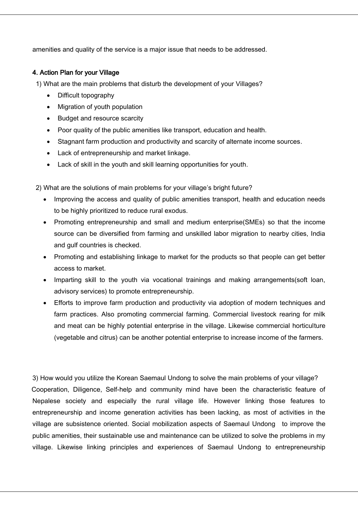amenities and quality of the service is a major issue that needs to be addressed.

# 4. Action Plan for your Village

1) What are the main problems that disturb the development of your Villages?

- Difficult topography
- Migration of youth population
- Budget and resource scarcity
- Poor quality of the public amenities like transport, education and health.
- Stagnant farm production and productivity and scarcity of alternate income sources.
- Lack of entrepreneurship and market linkage.
- Lack of skill in the youth and skill learning opportunities for youth.

2) What are the solutions of main problems for your village's bright future?

- Improving the access and quality of public amenities transport, health and education needs to be highly prioritized to reduce rural exodus.
- Promoting entrepreneurship and small and medium enterprise(SMEs) so that the income source can be diversified from farming and unskilled labor migration to nearby cities, India and gulf countries is checked.
- Promoting and establishing linkage to market for the products so that people can get better access to market.
- Imparting skill to the youth via vocational trainings and making arrangements(soft loan, advisory services) to promote entrepreneurship.
- Efforts to improve farm production and productivity via adoption of modern techniques and farm practices. Also promoting commercial farming. Commercial livestock rearing for milk and meat can be highly potential enterprise in the village. Likewise commercial horticulture (vegetable and citrus) can be another potential enterprise to increase income of the farmers.

3) How would you utilize the Korean Saemaul Undong to solve the main problems of your village? Cooperation, Diligence, Self-help and community mind have been the characteristic feature of Nepalese society and especially the rural village life. However linking those features to entrepreneurship and income generation activities has been lacking, as most of activities in the village are subsistence oriented. Social mobilization aspects of Saemaul Undong to improve the public amenities, their sustainable use and maintenance can be utilized to solve the problems in my village. Likewise linking principles and experiences of Saemaul Undong to entrepreneurship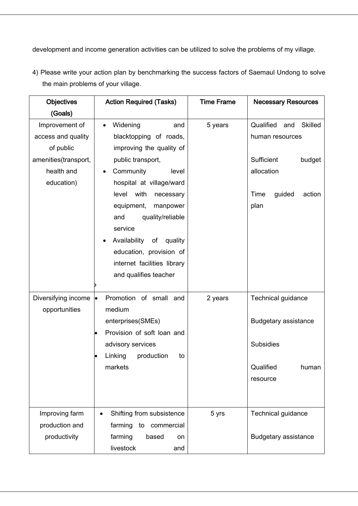development and income generation activities can be utilized to solve the problems of my village.

| <b>Objectives</b>    | <b>Action Required (Tasks)</b>         | <b>Time Frame</b> | <b>Necessary Resources</b>         |
|----------------------|----------------------------------------|-------------------|------------------------------------|
| (Goals)              |                                        |                   |                                    |
| Improvement of       | Widening<br>and<br>$\bullet$           | 5 years           | Qualified<br><b>Skilled</b><br>and |
| access and quality   | blacktopping of roads,                 |                   | human resources                    |
| of public            | improving the quality of               |                   |                                    |
| amenities(transport, | public transport,                      |                   | Sufficient<br>budget               |
| health and           | Community<br>level                     |                   | allocation                         |
| education)           | hospital at village/ward               |                   |                                    |
|                      | with<br>level<br>necessary             |                   | Time<br>guided<br>action           |
|                      | equipment,<br>manpower                 |                   | plan                               |
|                      | quality/reliable<br>and                |                   |                                    |
|                      | service                                |                   |                                    |
|                      | Availability<br>of<br>quality          |                   |                                    |
|                      | education, provision of                |                   |                                    |
|                      | internet facilities library            |                   |                                    |
|                      | and qualifies teacher                  |                   |                                    |
|                      |                                        |                   |                                    |
| Diversifying income  | Promotion of small and<br>le.          | 2 years           | Technical guidance                 |
| opportunities        | medium                                 |                   |                                    |
|                      | enterprises(SMEs)                      |                   | <b>Budgetary assistance</b>        |
|                      | Provision of soft loan and             |                   |                                    |
|                      | advisory services                      |                   | <b>Subsidies</b>                   |
|                      | Linking<br>production<br>to            |                   |                                    |
|                      | markets                                |                   | Qualified<br>human                 |
|                      |                                        |                   | resource                           |
|                      |                                        |                   |                                    |
|                      |                                        |                   |                                    |
| Improving farm       | Shifting from subsistence<br>$\bullet$ | 5 yrs             | Technical guidance                 |
| production and       | farming<br>to<br>commercial            |                   |                                    |
| productivity         | farming<br>based<br>on                 |                   | <b>Budgetary assistance</b>        |
|                      | livestock<br>and                       |                   |                                    |

4) Please write your action plan by benchmarking the success factors of Saemaul Undong to solve the main problems of your village.